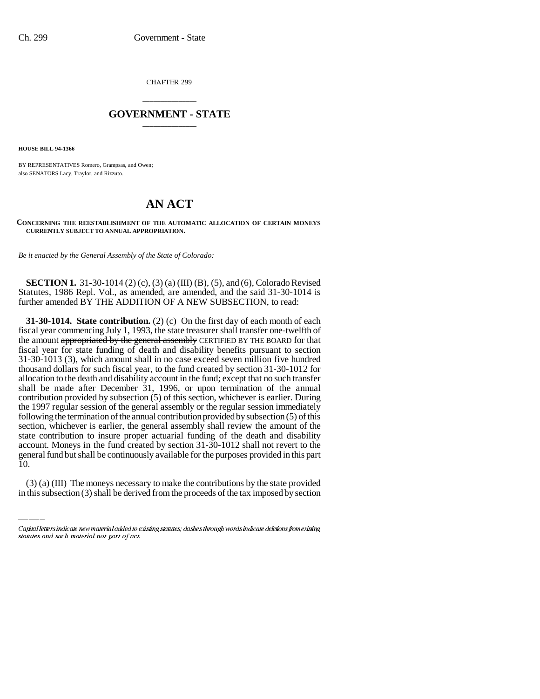CHAPTER 299

## \_\_\_\_\_\_\_\_\_\_\_\_\_\_\_ **GOVERNMENT - STATE** \_\_\_\_\_\_\_\_\_\_\_\_\_\_\_

**HOUSE BILL 94-1366**

BY REPRESENTATIVES Romero, Grampsas, and Owen; also SENATORS Lacy, Traylor, and Rizzuto.

## **AN ACT**

## **CONCERNING THE REESTABLISHMENT OF THE AUTOMATIC ALLOCATION OF CERTAIN MONEYS CURRENTLY SUBJECT TO ANNUAL APPROPRIATION.**

*Be it enacted by the General Assembly of the State of Colorado:*

**SECTION 1.** 31-30-1014 (2) (c), (3) (a) (III) (B), (5), and (6), Colorado Revised Statutes, 1986 Repl. Vol., as amended, are amended, and the said 31-30-1014 is further amended BY THE ADDITION OF A NEW SUBSECTION, to read:

general fund but shall be continuously available for the purposes provided in this part **31-30-1014. State contribution.** (2) (c) On the first day of each month of each fiscal year commencing July 1, 1993, the state treasurer shall transfer one-twelfth of the amount appropriated by the general assembly CERTIFIED BY THE BOARD for that fiscal year for state funding of death and disability benefits pursuant to section 31-30-1013 (3), which amount shall in no case exceed seven million five hundred thousand dollars for such fiscal year, to the fund created by section 31-30-1012 for allocation to the death and disability account in the fund; except that no such transfer shall be made after December 31, 1996, or upon termination of the annual contribution provided by subsection (5) of this section, whichever is earlier. During the 1997 regular session of the general assembly or the regular session immediately following the termination of the annual contribution provided by subsection (5) of this section, whichever is earlier, the general assembly shall review the amount of the state contribution to insure proper actuarial funding of the death and disability account. Moneys in the fund created by section 31-30-1012 shall not revert to the 10.

(3) (a) (III) The moneys necessary to make the contributions by the state provided in this subsection (3) shall be derived from the proceeds of the tax imposed by section

Capital letters indicate new material added to existing statutes; dashes through words indicate deletions from existing statutes and such material not part of act.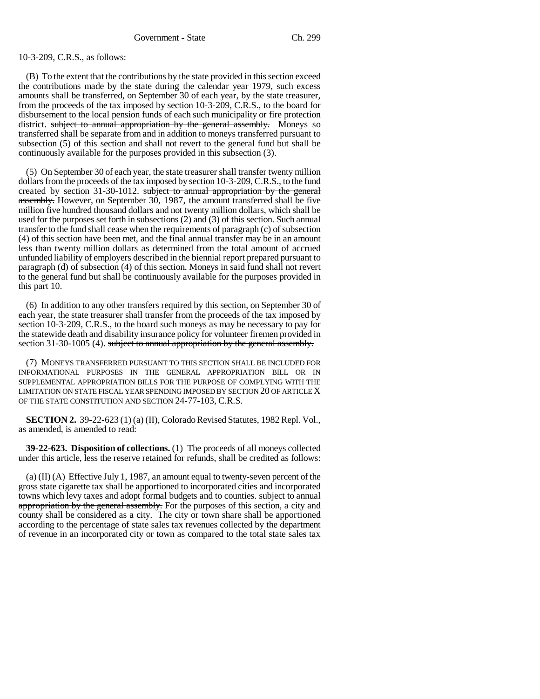10-3-209, C.R.S., as follows:

(B) To the extent that the contributions by the state provided in this section exceed the contributions made by the state during the calendar year 1979, such excess amounts shall be transferred, on September 30 of each year, by the state treasurer, from the proceeds of the tax imposed by section 10-3-209, C.R.S., to the board for disbursement to the local pension funds of each such municipality or fire protection district. subject to annual appropriation by the general assembly. Moneys so transferred shall be separate from and in addition to moneys transferred pursuant to subsection (5) of this section and shall not revert to the general fund but shall be continuously available for the purposes provided in this subsection (3).

(5) On September 30 of each year, the state treasurer shall transfer twenty million dollars from the proceeds of the tax imposed by section 10-3-209, C.R.S., to the fund created by section 31-30-1012. subject to annual appropriation by the general assembly. However, on September 30, 1987, the amount transferred shall be five million five hundred thousand dollars and not twenty million dollars, which shall be used for the purposes set forth in subsections (2) and (3) of this section. Such annual transfer to the fund shall cease when the requirements of paragraph (c) of subsection (4) of this section have been met, and the final annual transfer may be in an amount less than twenty million dollars as determined from the total amount of accrued unfunded liability of employers described in the biennial report prepared pursuant to paragraph (d) of subsection (4) of this section. Moneys in said fund shall not revert to the general fund but shall be continuously available for the purposes provided in this part 10.

(6) In addition to any other transfers required by this section, on September 30 of each year, the state treasurer shall transfer from the proceeds of the tax imposed by section 10-3-209, C.R.S., to the board such moneys as may be necessary to pay for the statewide death and disability insurance policy for volunteer firemen provided in section 31-30-1005 (4). subject to annual appropriation by the general assembly.

(7) MONEYS TRANSFERRED PURSUANT TO THIS SECTION SHALL BE INCLUDED FOR INFORMATIONAL PURPOSES IN THE GENERAL APPROPRIATION BILL OR IN SUPPLEMENTAL APPROPRIATION BILLS FOR THE PURPOSE OF COMPLYING WITH THE LIMITATION ON STATE FISCAL YEAR SPENDING IMPOSED BY SECTION 20 OF ARTICLE X OF THE STATE CONSTITUTION AND SECTION 24-77-103, C.R.S.

**SECTION 2.** 39-22-623 (1) (a) (II), Colorado Revised Statutes, 1982 Repl. Vol., as amended, is amended to read:

**39-22-623. Disposition of collections.** (1) The proceeds of all moneys collected under this article, less the reserve retained for refunds, shall be credited as follows:

(a)  $(II)$  (A) Effective July 1, 1987, an amount equal to twenty-seven percent of the gross state cigarette tax shall be apportioned to incorporated cities and incorporated towns which levy taxes and adopt formal budgets and to counties. **subject to annual** appropriation by the general assembly. For the purposes of this section, a city and county shall be considered as a city. The city or town share shall be apportioned according to the percentage of state sales tax revenues collected by the department of revenue in an incorporated city or town as compared to the total state sales tax